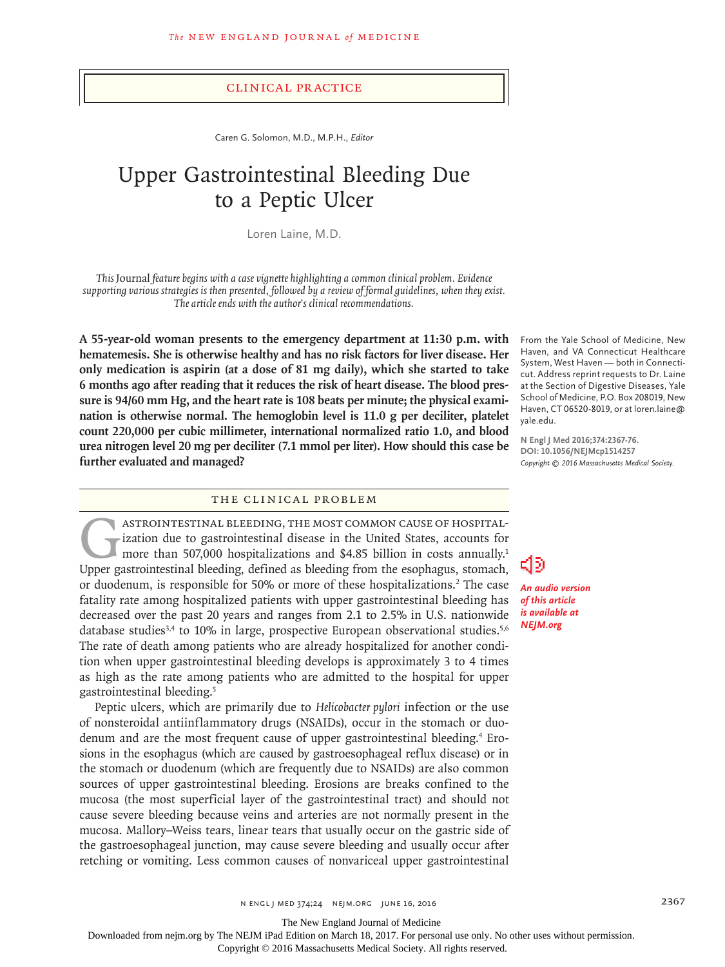## Clinical Practice

Caren G. Solomon, M.D., M.P.H., *Editor*

# Upper Gastrointestinal Bleeding Due to a Peptic Ulcer

Loren Laine, M.D.

*This* Journal *feature begins with a case vignette highlighting a common clinical problem. Evidence supporting various strategies is then presented, followed by a review of formal guidelines, when they exist. The article ends with the author's clinical recommendations.*

**A 55-year-old woman presents to the emergency department at 11:30 p.m. with hematemesis. She is otherwise healthy and has no risk factors for liver disease. Her only medication is aspirin (at a dose of 81 mg daily), which she started to take 6 months ago after reading that it reduces the risk of heart disease. The blood pressure is 94/60 mm Hg, and the heart rate is 108 beats per minute; the physical examination is otherwise normal. The hemoglobin level is 11.0 g per deciliter, platelet count 220,000 per cubic millimeter, international normalized ratio 1.0, and blood urea nitrogen level 20 mg per deciliter (7.1 mmol per liter). How should this case be further evaluated and managed?**

## The Clinical Problem

ASTROINTESTINAL BLEEDING, THE MOST COMMON CAUSE OF HOSPITALization due to gastrointestinal disease in the United States, accounts for more than 507,000 hospitalizations and \$4.85 billion in costs annually.<sup>1</sup> Upper gastrointestinal bleeding, defined as bleeding from the esophagus, stomach, or duodenum, is responsible for 50% or more of these hospitalizations.<sup>2</sup> The case fatality rate among hospitalized patients with upper gastrointestinal bleeding has decreased over the past 20 years and ranges from 2.1 to 2.5% in U.S. nationwide database studies<sup>3,4</sup> to 10% in large, prospective European observational studies.<sup>5,6</sup> The rate of death among patients who are already hospitalized for another condition when upper gastrointestinal bleeding develops is approximately 3 to 4 times as high as the rate among patients who are admitted to the hospital for upper gastrointestinal bleeding.5

Peptic ulcers, which are primarily due to *Helicobacter pylori* infection or the use of nonsteroidal antiinflammatory drugs (NSAIDs), occur in the stomach or duodenum and are the most frequent cause of upper gastrointestinal bleeding.<sup>4</sup> Erosions in the esophagus (which are caused by gastroesophageal reflux disease) or in the stomach or duodenum (which are frequently due to NSAIDs) are also common sources of upper gastrointestinal bleeding. Erosions are breaks confined to the mucosa (the most superficial layer of the gastrointestinal tract) and should not cause severe bleeding because veins and arteries are not normally present in the mucosa. Mallory–Weiss tears, linear tears that usually occur on the gastric side of the gastroesophageal junction, may cause severe bleeding and usually occur after retching or vomiting. Less common causes of nonvariceal upper gastrointestinal

From the Yale School of Medicine, New Haven, and VA Connecticut Healthcare System, West Haven — both in Connecticut. Address reprint requests to Dr. Laine at the Section of Digestive Diseases, Yale School of Medicine, P.O. Box 208019, New Haven, CT 06520-8019, or at loren.laine@ yale.edu.

**N Engl J Med 2016;374:2367-76. DOI: 10.1056/NEJMcp1514257** *Copyright © 2016 Massachusetts Medical Society.*

*An audio version of this article is available at NEJM.org*

n engl j med 374;24 nejm.org JUNE 16, 2016 2367

The New England Journal of Medicine

Downloaded from nejm.org by The NEJM iPad Edition on March 18, 2017. For personal use only. No other uses without permission.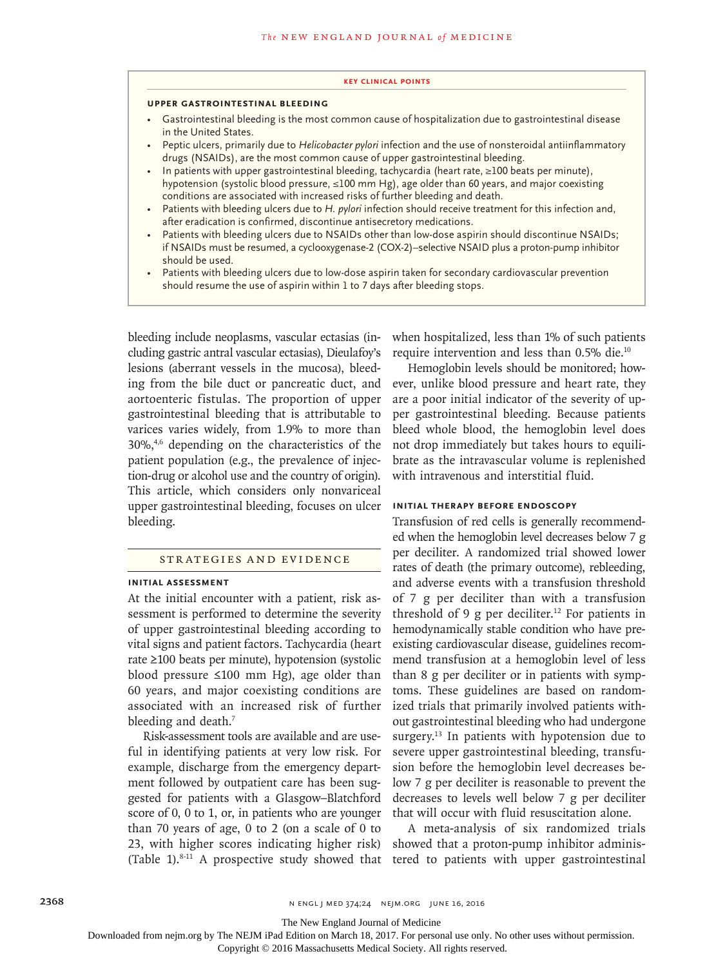#### **Key Clinical Points**

## **Upper Gastrointestinal Bleeding**

- Gastrointestinal bleeding is the most common cause of hospitalization due to gastrointestinal disease in the United States.
- Peptic ulcers, primarily due to *Helicobacter pylori* infection and the use of nonsteroidal antiinflammatory drugs (NSAIDs), are the most common cause of upper gastrointestinal bleeding.
- In patients with upper gastrointestinal bleeding, tachycardia (heart rate, ≥100 beats per minute), hypotension (systolic blood pressure, ≤100 mm Hg), age older than 60 years, and major coexisting conditions are associated with increased risks of further bleeding and death.
- Patients with bleeding ulcers due to *H. pylori* infection should receive treatment for this infection and, after eradication is confirmed, discontinue antisecretory medications.
- Patients with bleeding ulcers due to NSAIDs other than low-dose aspirin should discontinue NSAIDs; if NSAIDs must be resumed, a cyclooxygenase-2 (COX-2)–selective NSAID plus a proton-pump inhibitor should be used.
- Patients with bleeding ulcers due to low-dose aspirin taken for secondary cardiovascular prevention should resume the use of aspirin within 1 to 7 days after bleeding stops.

bleeding include neoplasms, vascular ectasias (including gastric antral vascular ectasias), Dieulafoy's lesions (aberrant vessels in the mucosa), bleeding from the bile duct or pancreatic duct, and aortoenteric fistulas. The proportion of upper gastrointestinal bleeding that is attributable to varices varies widely, from 1.9% to more than 30%,4,6 depending on the characteristics of the patient population (e.g., the prevalence of injection-drug or alcohol use and the country of origin). This article, which considers only nonvariceal upper gastrointestinal bleeding, focuses on ulcer bleeding.

## Strategies and Evidence

#### **Initial Assessment**

At the initial encounter with a patient, risk assessment is performed to determine the severity of upper gastrointestinal bleeding according to vital signs and patient factors. Tachycardia (heart rate ≥100 beats per minute), hypotension (systolic blood pressure ≤100 mm Hg), age older than 60 years, and major coexisting conditions are associated with an increased risk of further bleeding and death.<sup>7</sup>

Risk-assessment tools are available and are useful in identifying patients at very low risk. For example, discharge from the emergency department followed by outpatient care has been suggested for patients with a Glasgow–Blatchford score of 0, 0 to 1, or, in patients who are younger than 70 years of age, 0 to 2 (on a scale of 0 to 23, with higher scores indicating higher risk)

when hospitalized, less than 1% of such patients require intervention and less than 0.5% die.10

Hemoglobin levels should be monitored; however, unlike blood pressure and heart rate, they are a poor initial indicator of the severity of upper gastrointestinal bleeding. Because patients bleed whole blood, the hemoglobin level does not drop immediately but takes hours to equilibrate as the intravascular volume is replenished with intravenous and interstitial fluid.

### **Initial Therapy before Endoscopy**

Transfusion of red cells is generally recommended when the hemoglobin level decreases below 7 g per deciliter. A randomized trial showed lower rates of death (the primary outcome), rebleeding, and adverse events with a transfusion threshold of 7 g per deciliter than with a transfusion threshold of 9 g per deciliter.<sup>12</sup> For patients in hemodynamically stable condition who have preexisting cardiovascular disease, guidelines recommend transfusion at a hemoglobin level of less than 8 g per deciliter or in patients with symptoms. These guidelines are based on randomized trials that primarily involved patients without gastrointestinal bleeding who had undergone surgery.<sup>13</sup> In patients with hypotension due to severe upper gastrointestinal bleeding, transfusion before the hemoglobin level decreases below 7 g per deciliter is reasonable to prevent the decreases to levels well below 7 g per deciliter that will occur with fluid resuscitation alone.

(Table 1).8-11 A prospective study showed that tered to patients with upper gastrointestinal A meta-analysis of six randomized trials showed that a proton-pump inhibitor adminis-

The New England Journal of Medicine

Downloaded from nejm.org by The NEJM iPad Edition on March 18, 2017. For personal use only. No other uses without permission.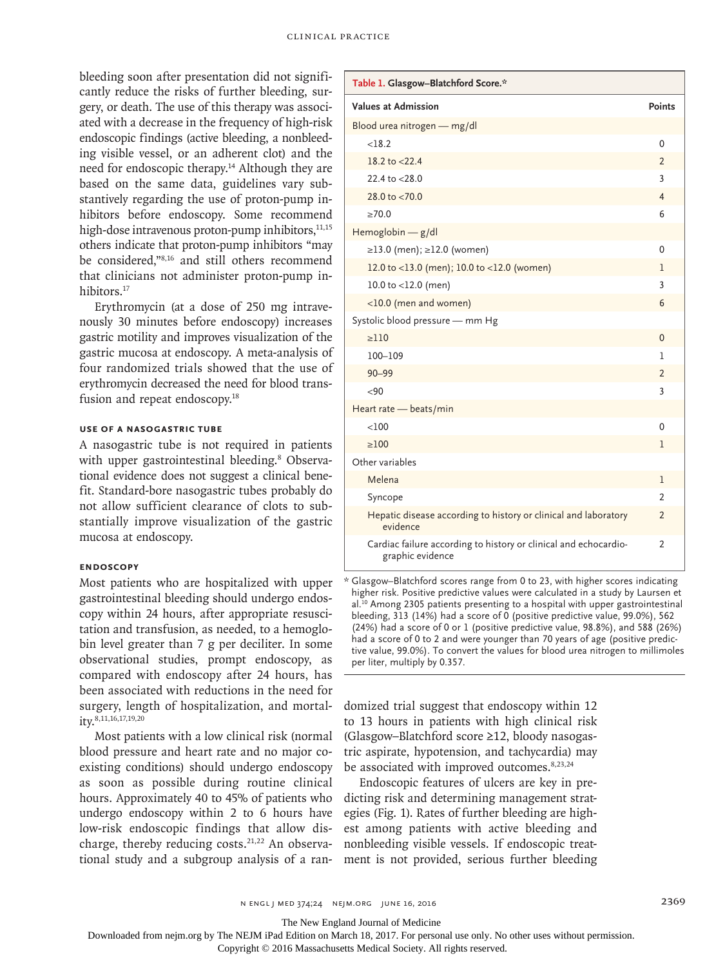bleeding soon after presentation did not significantly reduce the risks of further bleeding, surgery, or death. The use of this therapy was associated with a decrease in the frequency of high-risk endoscopic findings (active bleeding, a nonbleeding visible vessel, or an adherent clot) and the need for endoscopic therapy.14 Although they are based on the same data, guidelines vary substantively regarding the use of proton-pump inhibitors before endoscopy. Some recommend high-dose intravenous proton-pump inhibitors, $11,15$ others indicate that proton-pump inhibitors "may be considered,"8,16 and still others recommend that clinicians not administer proton-pump inhibitors.<sup>17</sup>

Erythromycin (at a dose of 250 mg intravenously 30 minutes before endoscopy) increases gastric motility and improves visualization of the gastric mucosa at endoscopy. A meta-analysis of four randomized trials showed that the use of erythromycin decreased the need for blood transfusion and repeat endoscopy.<sup>18</sup>

# **Use of a Nasogastric Tube**

A nasogastric tube is not required in patients with upper gastrointestinal bleeding.<sup>8</sup> Observational evidence does not suggest a clinical benefit. Standard-bore nasogastric tubes probably do not allow sufficient clearance of clots to substantially improve visualization of the gastric mucosa at endoscopy.

## **Endoscopy**

Most patients who are hospitalized with upper gastrointestinal bleeding should undergo endoscopy within 24 hours, after appropriate resuscitation and transfusion, as needed, to a hemoglobin level greater than 7 g per deciliter. In some observational studies, prompt endoscopy, as compared with endoscopy after 24 hours, has been associated with reductions in the need for surgery, length of hospitalization, and mortality.8,11,16,17,19,20

Most patients with a low clinical risk (normal blood pressure and heart rate and no major coexisting conditions) should undergo endoscopy as soon as possible during routine clinical hours. Approximately 40 to 45% of patients who undergo endoscopy within 2 to 6 hours have low-risk endoscopic findings that allow discharge, thereby reducing costs.<sup>21,22</sup> An observational study and a subgroup analysis of a ran-

| Table 1. Glasgow-Blatchford Score.*                                                  |                |
|--------------------------------------------------------------------------------------|----------------|
| <b>Values at Admission</b>                                                           | <b>Points</b>  |
| Blood urea nitrogen - mg/dl                                                          |                |
| < 18.2                                                                               | 0              |
| 18.2 to <22.4                                                                        | 2              |
| 22.4 to <28.0                                                                        | 3              |
| 28.0 to <70.0                                                                        | 4              |
| >70.0                                                                                | 6              |
| Hemoglobin $-$ g/dl                                                                  |                |
| ≥13.0 (men); ≥12.0 (women)                                                           | 0              |
| 12.0 to <13.0 (men); 10.0 to <12.0 (women)                                           | 1              |
| 10.0 to <12.0 (men)                                                                  | 3              |
| <10.0 (men and women)                                                                | 6              |
| Systolic blood pressure - mm Hg                                                      |                |
| $>110$                                                                               | $\Omega$       |
| 100-109                                                                              | 1              |
| $90 - 99$                                                                            | $\overline{2}$ |
| <90                                                                                  | 3              |
| Heart rate - beats/min                                                               |                |
| < 100                                                                                | 0              |
| $\geq$ 100                                                                           | 1              |
| Other variables                                                                      |                |
| Melena                                                                               | 1              |
| Syncope                                                                              | $\overline{2}$ |
| Hepatic disease according to history or clinical and laboratory<br>evidence          | $\overline{2}$ |
| Cardiac failure according to history or clinical and echocardio-<br>graphic evidence | $\overline{2}$ |

\* Glasgow–Blatchford scores range from 0 to 23, with higher scores indicating higher risk. Positive predictive values were calculated in a study by Laursen et al.<sup>10</sup> Among 2305 patients presenting to a hospital with upper gastrointestinal bleeding, 313 (14%) had a score of 0 (positive predictive value, 99.0%), 562 (24%) had a score of 0 or 1 (positive predictive value, 98.8%), and 588 (26%) had a score of 0 to 2 and were younger than 70 years of age (positive predictive value, 99.0%). To convert the values for blood urea nitrogen to millimoles per liter, multiply by 0.357.

domized trial suggest that endoscopy within 12 to 13 hours in patients with high clinical risk (Glasgow–Blatchford score ≥12, bloody nasogastric aspirate, hypotension, and tachycardia) may be associated with improved outcomes.<sup>8,23,24</sup>

Endoscopic features of ulcers are key in predicting risk and determining management strategies (Fig. 1). Rates of further bleeding are highest among patients with active bleeding and nonbleeding visible vessels. If endoscopic treatment is not provided, serious further bleeding

The New England Journal of Medicine

Downloaded from nejm.org by The NEJM iPad Edition on March 18, 2017. For personal use only. No other uses without permission.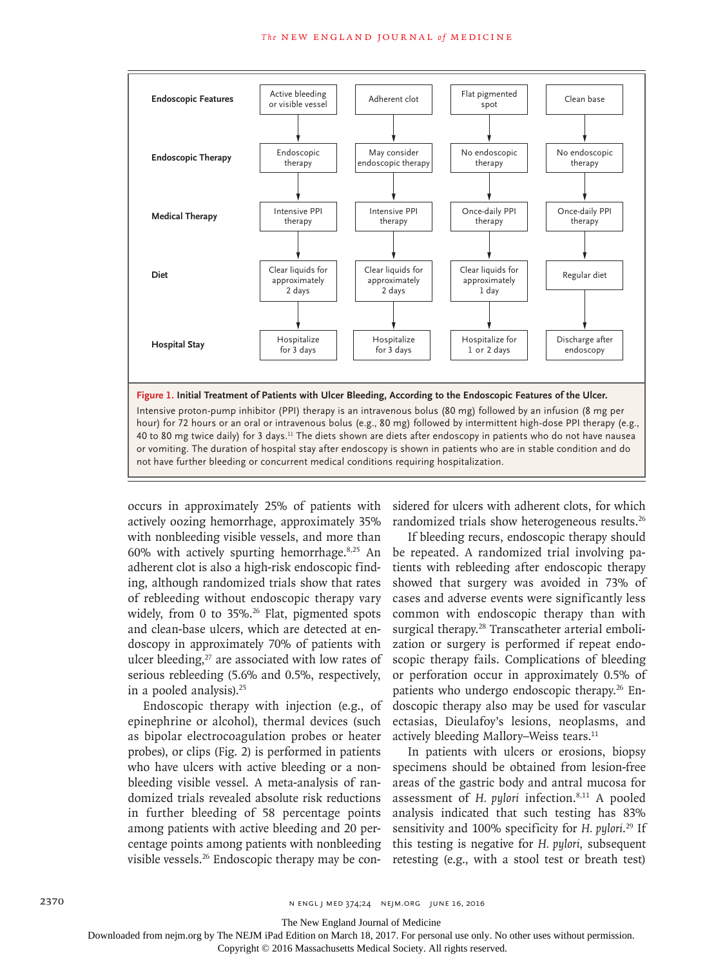

occurs in approximately 25% of patients with actively oozing hemorrhage, approximately 35% with nonbleeding visible vessels, and more than 60% with actively spurting hemorrhage.8,25 An adherent clot is also a high-risk endoscopic finding, although randomized trials show that rates of rebleeding without endoscopic therapy vary widely, from 0 to  $35\%$ .<sup>26</sup> Flat, pigmented spots and clean-base ulcers, which are detected at endoscopy in approximately 70% of patients with ulcer bleeding, $^{27}$  are associated with low rates of serious rebleeding (5.6% and 0.5%, respectively, in a pooled analysis). $25$ 

Endoscopic therapy with injection (e.g., of epinephrine or alcohol), thermal devices (such as bipolar electrocoagulation probes or heater probes), or clips (Fig. 2) is performed in patients who have ulcers with active bleeding or a nonbleeding visible vessel. A meta-analysis of randomized trials revealed absolute risk reductions in further bleeding of 58 percentage points among patients with active bleeding and 20 percentage points among patients with nonbleeding visible vessels.<sup>26</sup> Endoscopic therapy may be considered for ulcers with adherent clots, for which randomized trials show heterogeneous results.26

If bleeding recurs, endoscopic therapy should be repeated. A randomized trial involving patients with rebleeding after endoscopic therapy showed that surgery was avoided in 73% of cases and adverse events were significantly less common with endoscopic therapy than with surgical therapy.<sup>28</sup> Transcatheter arterial embolization or surgery is performed if repeat endoscopic therapy fails. Complications of bleeding or perforation occur in approximately 0.5% of patients who undergo endoscopic therapy.<sup>26</sup> Endoscopic therapy also may be used for vascular ectasias, Dieulafoy's lesions, neoplasms, and actively bleeding Mallory–Weiss tears.11

In patients with ulcers or erosions, biopsy specimens should be obtained from lesion-free areas of the gastric body and antral mucosa for assessment of *H. pylori* infection.<sup>8,11</sup> A pooled analysis indicated that such testing has 83% sensitivity and 100% specificity for *H. pylori*. 29 If this testing is negative for *H. pylori*, subsequent retesting (e.g., with a stool test or breath test)

The New England Journal of Medicine

Downloaded from nejm.org by The NEJM iPad Edition on March 18, 2017. For personal use only. No other uses without permission.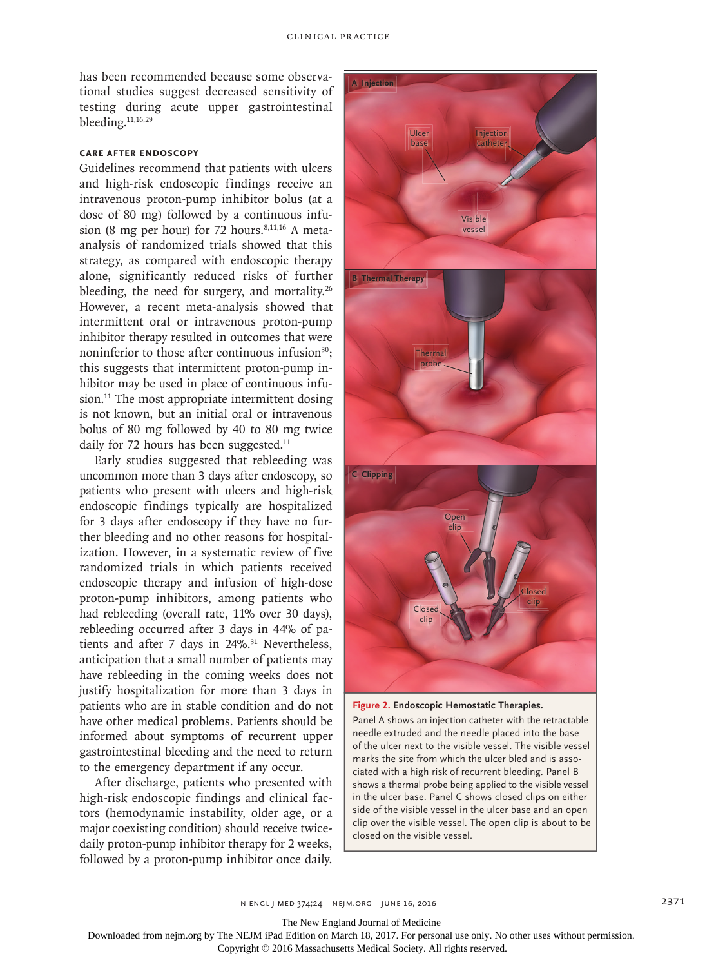has been recommended because some observational studies suggest decreased sensitivity of testing during acute upper gastrointestinal bleeding.<sup>11,16,29</sup>

## **Care after Endoscopy**

Guidelines recommend that patients with ulcers and high-risk endoscopic findings receive an intravenous proton-pump inhibitor bolus (at a dose of 80 mg) followed by a continuous infusion (8 mg per hour) for 72 hours. $8,11,16$  A metaanalysis of randomized trials showed that this strategy, as compared with endoscopic therapy alone, significantly reduced risks of further bleeding, the need for surgery, and mortality.<sup>26</sup> However, a recent meta-analysis showed that intermittent oral or intravenous proton-pump inhibitor therapy resulted in outcomes that were noninferior to those after continuous infusion $30$ ; this suggests that intermittent proton-pump inhibitor may be used in place of continuous infusion.<sup>11</sup> The most appropriate intermittent dosing is not known, but an initial oral or intravenous bolus of 80 mg followed by 40 to 80 mg twice daily for 72 hours has been suggested.<sup>11</sup>

Early studies suggested that rebleeding was uncommon more than 3 days after endoscopy, so patients who present with ulcers and high-risk endoscopic findings typically are hospitalized for 3 days after endoscopy if they have no further bleeding and no other reasons for hospitalization. However, in a systematic review of five randomized trials in which patients received endoscopic therapy and infusion of high-dose proton-pump inhibitors, among patients who had rebleeding (overall rate, 11% over 30 days), rebleeding occurred after 3 days in 44% of patients and after 7 days in  $24\%$ .<sup>31</sup> Nevertheless, anticipation that a small number of patients may have rebleeding in the coming weeks does not justify hospitalization for more than 3 days in patients who are in stable condition and do not have other medical problems. Patients should be informed about symptoms of recurrent upper gastrointestinal bleeding and the need to return to the emergency department if any occur.

After discharge, patients who presented with high-risk endoscopic findings and clinical factors (hemodynamic instability, older age, or a major coexisting condition) should receive twicedaily proton-pump inhibitor therapy for 2 weeks, followed by a proton-pump inhibitor once daily.



**Figure 2. Endoscopic Hemostatic Therapies.**

Panel A shows an injection catheter with the retractable needle extruded and the needle placed into the base of the ulcer next to the visible vessel. The visible vessel marks the site from which the ulcer bled and is associated with a high risk of recurrent bleeding. Panel B shows a thermal probe being applied to the visible vessel in the ulcer base. Panel C shows closed clips on either side of the visible vessel in the ulcer base and an open clip over the visible vessel. The open clip is about to be closed on the visible vessel.

The New England Journal of Medicine

Downloaded from nejm.org by The NEJM iPad Edition on March 18, 2017. For personal use only. No other uses without permission.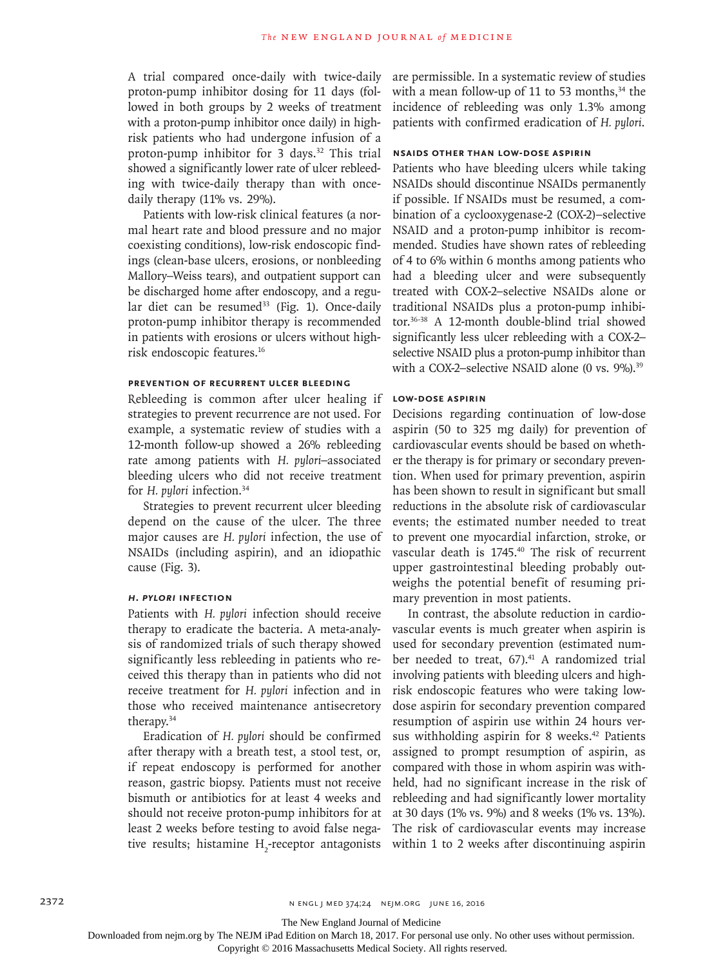A trial compared once-daily with twice-daily proton-pump inhibitor dosing for 11 days (followed in both groups by 2 weeks of treatment with a proton-pump inhibitor once daily) in highrisk patients who had undergone infusion of a proton-pump inhibitor for 3 days.<sup>32</sup> This trial showed a significantly lower rate of ulcer rebleeding with twice-daily therapy than with oncedaily therapy (11% vs. 29%).

Patients with low-risk clinical features (a normal heart rate and blood pressure and no major coexisting conditions), low-risk endoscopic findings (clean-base ulcers, erosions, or nonbleeding Mallory–Weiss tears), and outpatient support can be discharged home after endoscopy, and a regular diet can be resumed<sup>33</sup> (Fig. 1). Once-daily proton-pump inhibitor therapy is recommended in patients with erosions or ulcers without highrisk endoscopic features.16

# **Prevention of Recurrent Ulcer Bleeding**

Rebleeding is common after ulcer healing if strategies to prevent recurrence are not used. For example, a systematic review of studies with a 12-month follow-up showed a 26% rebleeding rate among patients with *H. pylori*–associated bleeding ulcers who did not receive treatment for *H. pylori* infection.34

Strategies to prevent recurrent ulcer bleeding depend on the cause of the ulcer. The three major causes are *H. pylori* infection, the use of NSAIDs (including aspirin), and an idiopathic cause (Fig. 3).

#### *H. pylori* **Infection**

Patients with *H. pylori* infection should receive therapy to eradicate the bacteria. A meta-analysis of randomized trials of such therapy showed significantly less rebleeding in patients who received this therapy than in patients who did not receive treatment for *H. pylori* infection and in those who received maintenance antisecretory therapy.34

Eradication of *H. pylori* should be confirmed after therapy with a breath test, a stool test, or, if repeat endoscopy is performed for another reason, gastric biopsy. Patients must not receive bismuth or antibiotics for at least 4 weeks and should not receive proton-pump inhibitors for at least 2 weeks before testing to avoid false negative results; histamine  $H_2$ -receptor antagonists are permissible. In a systematic review of studies with a mean follow-up of 11 to 53 months, $34$  the incidence of rebleeding was only 1.3% among patients with confirmed eradication of *H. pylori*.

## **NSAIDs Other Than Low-Dose Aspirin**

Patients who have bleeding ulcers while taking NSAIDs should discontinue NSAIDs permanently if possible. If NSAIDs must be resumed, a combination of a cyclooxygenase-2 (COX-2)–selective NSAID and a proton-pump inhibitor is recommended. Studies have shown rates of rebleeding of 4 to 6% within 6 months among patients who had a bleeding ulcer and were subsequently treated with COX-2–selective NSAIDs alone or traditional NSAIDs plus a proton-pump inhibitor.36-38 A 12-month double-blind trial showed significantly less ulcer rebleeding with a COX-2– selective NSAID plus a proton-pump inhibitor than with a COX-2-selective NSAID alone (0 vs. 9%).<sup>39</sup>

## **Low-Dose Aspirin**

Decisions regarding continuation of low-dose aspirin (50 to 325 mg daily) for prevention of cardiovascular events should be based on whether the therapy is for primary or secondary prevention. When used for primary prevention, aspirin has been shown to result in significant but small reductions in the absolute risk of cardiovascular events; the estimated number needed to treat to prevent one myocardial infarction, stroke, or vascular death is 1745.40 The risk of recurrent upper gastrointestinal bleeding probably outweighs the potential benefit of resuming primary prevention in most patients.

In contrast, the absolute reduction in cardiovascular events is much greater when aspirin is used for secondary prevention (estimated number needed to treat,  $67$ ).<sup>41</sup> A randomized trial involving patients with bleeding ulcers and highrisk endoscopic features who were taking lowdose aspirin for secondary prevention compared resumption of aspirin use within 24 hours versus withholding aspirin for 8 weeks.<sup>42</sup> Patients assigned to prompt resumption of aspirin, as compared with those in whom aspirin was withheld, had no significant increase in the risk of rebleeding and had significantly lower mortality at 30 days (1% vs. 9%) and 8 weeks (1% vs. 13%). The risk of cardiovascular events may increase within 1 to 2 weeks after discontinuing aspirin

The New England Journal of Medicine

Downloaded from nejm.org by The NEJM iPad Edition on March 18, 2017. For personal use only. No other uses without permission.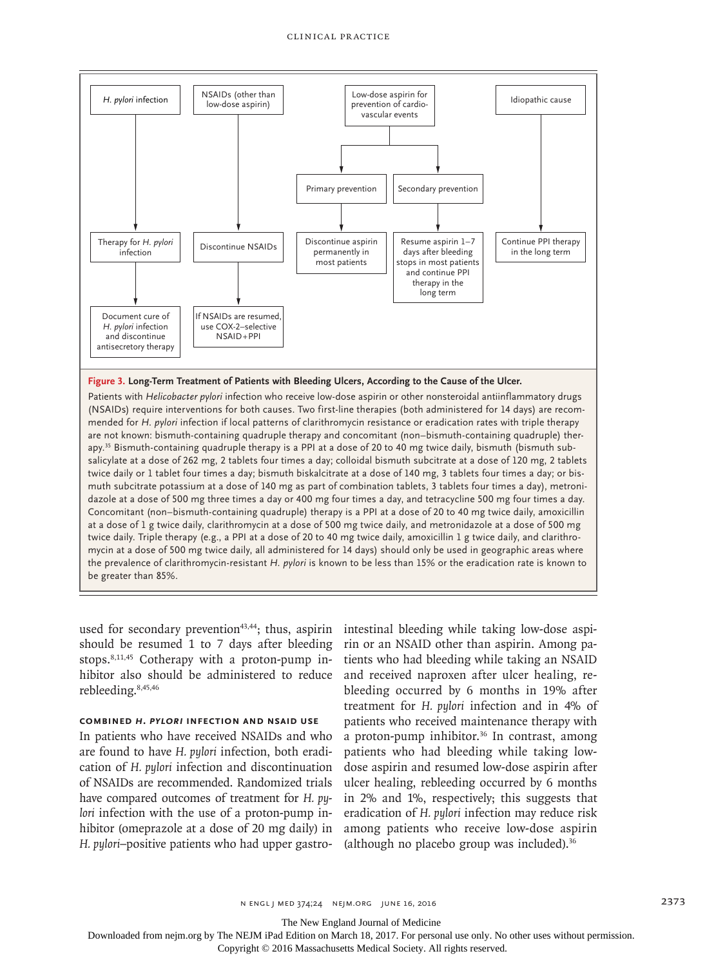#### Clinical Practice



(NSAIDs) require interventions for both causes. Two first-line therapies (both administered for 14 days) are recommended for *H. pylori* infection if local patterns of clarithromycin resistance or eradication rates with triple therapy are not known: bismuth-containing quadruple therapy and concomitant (non–bismuth-containing quadruple) therapy.<sup>35</sup> Bismuth-containing quadruple therapy is a PPI at a dose of 20 to 40 mg twice daily, bismuth (bismuth subsalicylate at a dose of 262 mg, 2 tablets four times a day; colloidal bismuth subcitrate at a dose of 120 mg, 2 tablets twice daily or 1 tablet four times a day; bismuth biskalcitrate at a dose of 140 mg, 3 tablets four times a day; or bismuth subcitrate potassium at a dose of 140 mg as part of combination tablets, 3 tablets four times a day), metronidazole at a dose of 500 mg three times a day or 400 mg four times a day, and tetracycline 500 mg four times a day. Concomitant (non–bismuth-containing quadruple) therapy is a PPI at a dose of 20 to 40 mg twice daily, amoxicillin at a dose of 1 g twice daily, clarithromycin at a dose of 500 mg twice daily, and metronidazole at a dose of 500 mg twice daily. Triple therapy (e.g., a PPI at a dose of 20 to 40 mg twice daily, amoxicillin 1 g twice daily, and clarithromycin at a dose of 500 mg twice daily, all administered for 14 days) should only be used in geographic areas where the prevalence of clarithromycin-resistant *H. pylori* is known to be less than 15% or the eradication rate is known to be greater than 85%.

used for secondary prevention<sup>43,44</sup>; thus, aspirin intestinal bleeding while taking low-dose aspishould be resumed 1 to 7 days after bleeding rin or an NSAID other than aspirin. Among pastops.8,11,45 Cotherapy with a proton-pump inhibitor also should be administered to reduce rebleeding.8,45,46

## **Combined** *H. pylori* **Infection and NSAID Use**

In patients who have received NSAIDs and who are found to have *H. pylori* infection, both eradication of *H. pylori* infection and discontinuation of NSAIDs are recommended. Randomized trials have compared outcomes of treatment for *H. pylori* infection with the use of a proton-pump inhibitor (omeprazole at a dose of 20 mg daily) in *H. pylori*–positive patients who had upper gastrotients who had bleeding while taking an NSAID and received naproxen after ulcer healing, rebleeding occurred by 6 months in 19% after treatment for *H. pylori* infection and in 4% of patients who received maintenance therapy with a proton-pump inhibitor.<sup>36</sup> In contrast, among patients who had bleeding while taking lowdose aspirin and resumed low-dose aspirin after ulcer healing, rebleeding occurred by 6 months in 2% and 1%, respectively; this suggests that eradication of *H. pylori* infection may reduce risk among patients who receive low-dose aspirin (although no placebo group was included).36

n engl j med 374;24 nejm.org June 16, 2016 2373

The New England Journal of Medicine

Downloaded from nejm.org by The NEJM iPad Edition on March 18, 2017. For personal use only. No other uses without permission.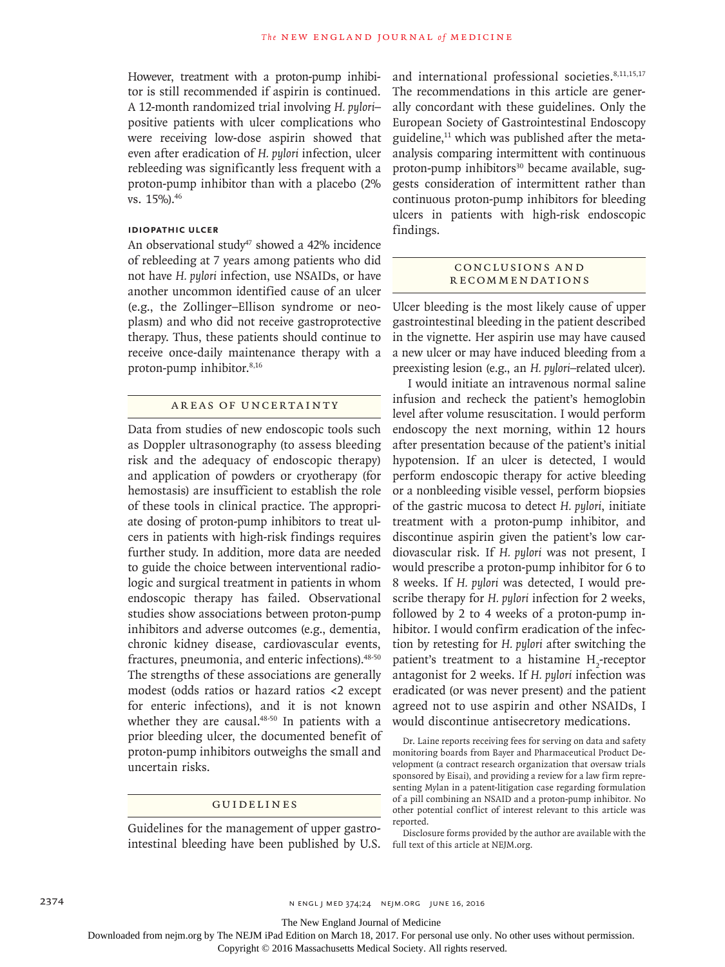However, treatment with a proton-pump inhibitor is still recommended if aspirin is continued. A 12-month randomized trial involving *H. pylori*– positive patients with ulcer complications who were receiving low-dose aspirin showed that even after eradication of *H. pylori* infection, ulcer rebleeding was significantly less frequent with a proton-pump inhibitor than with a placebo (2% vs. 15%).<sup>46</sup>

## **Idiopathic Ulcer**

An observational study<sup>47</sup> showed a 42% incidence of rebleeding at 7 years among patients who did not have *H. pylori* infection, use NSAIDs, or have another uncommon identified cause of an ulcer (e.g., the Zollinger–Ellison syndrome or neoplasm) and who did not receive gastroprotective therapy. Thus, these patients should continue to receive once-daily maintenance therapy with a proton-pump inhibitor.8,16

# Areas of Uncertainty

Data from studies of new endoscopic tools such as Doppler ultrasonography (to assess bleeding risk and the adequacy of endoscopic therapy) and application of powders or cryotherapy (for hemostasis) are insufficient to establish the role of these tools in clinical practice. The appropriate dosing of proton-pump inhibitors to treat ulcers in patients with high-risk findings requires further study. In addition, more data are needed to guide the choice between interventional radiologic and surgical treatment in patients in whom endoscopic therapy has failed. Observational studies show associations between proton-pump inhibitors and adverse outcomes (e.g., dementia, chronic kidney disease, cardiovascular events, fractures, pneumonia, and enteric infections).<sup>48-50</sup> The strengths of these associations are generally modest (odds ratios or hazard ratios <2 except for enteric infections), and it is not known whether they are causal.<sup>48-50</sup> In patients with a prior bleeding ulcer, the documented benefit of proton-pump inhibitors outweighs the small and uncertain risks.

### Guidelines

Guidelines for the management of upper gastrointestinal bleeding have been published by U.S. and international professional societies.<sup>8,11,15,17</sup> The recommendations in this article are generally concordant with these guidelines. Only the European Society of Gastrointestinal Endoscopy guideline, $11$  which was published after the metaanalysis comparing intermittent with continuous proton-pump inhibitors<sup>30</sup> became available, suggests consideration of intermittent rather than continuous proton-pump inhibitors for bleeding ulcers in patients with high-risk endoscopic findings.

## Conclusions a nd **RECOMMENDATIONS**

Ulcer bleeding is the most likely cause of upper gastrointestinal bleeding in the patient described in the vignette. Her aspirin use may have caused a new ulcer or may have induced bleeding from a preexisting lesion (e.g., an *H. pylori*–related ulcer).

I would initiate an intravenous normal saline infusion and recheck the patient's hemoglobin level after volume resuscitation. I would perform endoscopy the next morning, within 12 hours after presentation because of the patient's initial hypotension. If an ulcer is detected, I would perform endoscopic therapy for active bleeding or a nonbleeding visible vessel, perform biopsies of the gastric mucosa to detect *H. pylori*, initiate treatment with a proton-pump inhibitor, and discontinue aspirin given the patient's low cardiovascular risk. If *H. pylori* was not present, I would prescribe a proton-pump inhibitor for 6 to 8 weeks. If *H. pylori* was detected, I would prescribe therapy for *H. pylori* infection for 2 weeks, followed by 2 to 4 weeks of a proton-pump inhibitor. I would confirm eradication of the infection by retesting for *H. pylori* after switching the patient's treatment to a histamine  $H_2$ -receptor antagonist for 2 weeks. If *H. pylori* infection was eradicated (or was never present) and the patient agreed not to use aspirin and other NSAIDs, I would discontinue antisecretory medications.

Dr. Laine reports receiving fees for serving on data and safety monitoring boards from Bayer and Pharmaceutical Product Development (a contract research organization that oversaw trials sponsored by Eisai), and providing a review for a law firm representing Mylan in a patent-litigation case regarding formulation of a pill combining an NSAID and a proton-pump inhibitor. No other potential conflict of interest relevant to this article was reported.

Disclosure forms provided by the author are available with the full text of this article at NEJM.org.

The New England Journal of Medicine

Downloaded from nejm.org by The NEJM iPad Edition on March 18, 2017. For personal use only. No other uses without permission.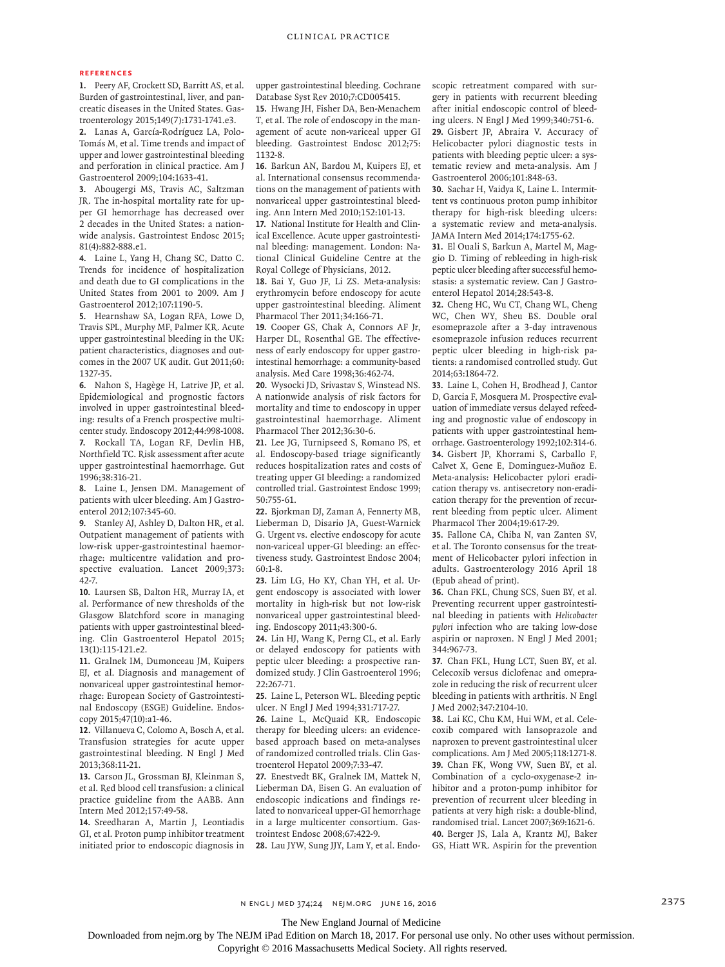#### **References**

**1.** Peery AF, Crockett SD, Barritt AS, et al. Burden of gastrointestinal, liver, and pancreatic diseases in the United States. Gastroenterology 2015;149(7):1731-1741.e3. **2.** Lanas A, García-Rodríguez LA, Polo-Tomás M, et al. Time trends and impact of upper and lower gastrointestinal bleeding and perforation in clinical practice. Am J Gastroenterol 2009;104:1633-41.

**3.** Abougergi MS, Travis AC, Saltzman JR. The in-hospital mortality rate for upper GI hemorrhage has decreased over 2 decades in the United States: a nationwide analysis. Gastrointest Endosc 2015; 81(4):882-888.e1.

**4.** Laine L, Yang H, Chang SC, Datto C. Trends for incidence of hospitalization and death due to GI complications in the United States from 2001 to 2009. Am J Gastroenterol 2012;107:1190-5.

**5.** Hearnshaw SA, Logan RFA, Lowe D, Travis SPL, Murphy MF, Palmer KR. Acute upper gastrointestinal bleeding in the UK: patient characteristics, diagnoses and outcomes in the 2007 UK audit. Gut 2011;60: 1327-35.

**6.** Nahon S, Hagège H, Latrive JP, et al. Epidemiological and prognostic factors involved in upper gastrointestinal bleeding: results of a French prospective multicenter study. Endoscopy 2012;44:998-1008. **7.** Rockall TA, Logan RF, Devlin HB, Northfield TC. Risk assessment after acute

upper gastrointestinal haemorrhage. Gut 1996;38:316-21. **8.** Laine L, Jensen DM. Management of

patients with ulcer bleeding. Am J Gastroenterol 2012;107:345-60.

**9.** Stanley AJ, Ashley D, Dalton HR, et al. Outpatient management of patients with low-risk upper-gastrointestinal haemorrhage: multicentre validation and prospective evaluation. Lancet 2009;373: 42-7.

**10.** Laursen SB, Dalton HR, Murray IA, et al. Performance of new thresholds of the Glasgow Blatchford score in managing patients with upper gastrointestinal bleeding. Clin Gastroenterol Hepatol 2015; 13(1):115-121.e2.

**11.** Gralnek IM, Dumonceau JM, Kuipers EJ, et al. Diagnosis and management of nonvariceal upper gastrointestinal hemorrhage: European Society of Gastrointestinal Endoscopy (ESGE) Guideline. Endoscopy 2015;47(10):a1-46.

**12.** Villanueva C, Colomo A, Bosch A, et al. Transfusion strategies for acute upper gastrointestinal bleeding. N Engl J Med 2013;368:11-21.

**13.** Carson JL, Grossman BJ, Kleinman S, et al. Red blood cell transfusion: a clinical practice guideline from the AABB. Ann Intern Med 2012;157:49-58.

**14.** Sreedharan A, Martin J, Leontiadis GI, et al. Proton pump inhibitor treatment initiated prior to endoscopic diagnosis in upper gastrointestinal bleeding. Cochrane Database Syst Rev 2010;7:CD005415.

**15.** Hwang JH, Fisher DA, Ben-Menachem T, et al. The role of endoscopy in the management of acute non-variceal upper GI bleeding. Gastrointest Endosc 2012;75: 1132-8.

**16.** Barkun AN, Bardou M, Kuipers EJ, et al. International consensus recommendations on the management of patients with nonvariceal upper gastrointestinal bleeding. Ann Intern Med 2010;152:101-13.

**17.** National Institute for Health and Clinical Excellence. Acute upper gastrointestinal bleeding: management. London: National Clinical Guideline Centre at the Royal College of Physicians, 2012.

**18.** Bai Y, Guo JF, Li ZS. Meta-analysis: erythromycin before endoscopy for acute upper gastrointestinal bleeding. Aliment Pharmacol Ther 2011;34:166-71.

**19.** Cooper GS, Chak A, Connors AF Jr, Harper DL, Rosenthal GE. The effectiveness of early endoscopy for upper gastrointestinal hemorrhage: a community-based analysis. Med Care 1998;36:462-74.

**20.** Wysocki JD, Srivastav S, Winstead NS. A nationwide analysis of risk factors for mortality and time to endoscopy in upper gastrointestinal haemorrhage. Aliment Pharmacol Ther 2012;36:30-6.

**21.** Lee JG, Turnipseed S, Romano PS, et al. Endoscopy-based triage significantly reduces hospitalization rates and costs of treating upper GI bleeding: a randomized controlled trial. Gastrointest Endosc 1999; 50:755-61.

**22.** Bjorkman DJ, Zaman A, Fennerty MB, Lieberman D, Disario JA, Guest-Warnick G. Urgent vs. elective endoscopy for acute non-variceal upper-GI bleeding: an effectiveness study. Gastrointest Endosc 2004; 60:1-8.

**23.** Lim LG, Ho KY, Chan YH, et al. Urgent endoscopy is associated with lower mortality in high-risk but not low-risk nonvariceal upper gastrointestinal bleeding. Endoscopy 2011;43:300-6.

**24.** Lin HJ, Wang K, Perng CL, et al. Early or delayed endoscopy for patients with peptic ulcer bleeding: a prospective randomized study. J Clin Gastroenterol 1996; 22:267-71.

**25.** Laine L, Peterson WL. Bleeding peptic ulcer. N Engl J Med 1994;331:717-27.

**26.** Laine L, McQuaid KR. Endoscopic therapy for bleeding ulcers: an evidencebased approach based on meta-analyses of randomized controlled trials. Clin Gastroenterol Hepatol 2009;7:33-47.

**27.** Enestvedt BK, Gralnek IM, Mattek N, Lieberman DA, Eisen G. An evaluation of endoscopic indications and findings related to nonvariceal upper-GI hemorrhage in a large multicenter consortium. Gastrointest Endosc 2008;67:422-9.

**28.** Lau JYW, Sung JJY, Lam Y, et al. Endo-

scopic retreatment compared with surgery in patients with recurrent bleeding after initial endoscopic control of bleeding ulcers. N Engl J Med 1999;340:751-6. **29.** Gisbert JP, Abraira V. Accuracy of Helicobacter pylori diagnostic tests in patients with bleeding peptic ulcer: a systematic review and meta-analysis. Am J Gastroenterol 2006;101:848-63.

**30.** Sachar H, Vaidya K, Laine L. Intermittent vs continuous proton pump inhibitor therapy for high-risk bleeding ulcers: a systematic review and meta-analysis. JAMA Intern Med 2014;174:1755-62.

**31.** El Ouali S, Barkun A, Martel M, Maggio D. Timing of rebleeding in high-risk peptic ulcer bleeding after successful hemostasis: a systematic review. Can J Gastroenterol Hepatol 2014;28:543-8.

**32.** Cheng HC, Wu CT, Chang WL, Cheng WC, Chen WY, Sheu BS. Double oral esomeprazole after a 3-day intravenous esomeprazole infusion reduces recurrent peptic ulcer bleeding in high-risk patients: a randomised controlled study. Gut 2014;63:1864-72.

**33.** Laine L, Cohen H, Brodhead J, Cantor D, Garcia F, Mosquera M. Prospective evaluation of immediate versus delayed refeeding and prognostic value of endoscopy in patients with upper gastrointestinal hemorrhage. Gastroenterology 1992;102:314-6. **34.** Gisbert JP, Khorrami S, Carballo F, Calvet X, Gene E, Dominguez-Muñoz E. Meta-analysis: Helicobacter pylori eradication therapy vs. antisecretory non-eradication therapy for the prevention of recurrent bleeding from peptic ulcer. Aliment Pharmacol Ther 2004;19:617-29.

**35.** Fallone CA, Chiba N, van Zanten SV, et al. The Toronto consensus for the treatment of Helicobacter pylori infection in adults. Gastroenterology 2016 April 18 (Epub ahead of print).

**36.** Chan FKL, Chung SCS, Suen BY, et al. Preventing recurrent upper gastrointestinal bleeding in patients with *Helicobacter pylori* infection who are taking low-dose aspirin or naproxen. N Engl J Med 2001; 344:967-73.

**37.** Chan FKL, Hung LCT, Suen BY, et al. Celecoxib versus diclofenac and omeprazole in reducing the risk of recurrent ulcer bleeding in patients with arthritis. N Engl J Med 2002;347:2104-10.

**38.** Lai KC, Chu KM, Hui WM, et al. Celecoxib compared with lansoprazole and naproxen to prevent gastrointestinal ulcer complications. Am J Med 2005;118:1271-8. **39.** Chan FK, Wong VW, Suen BY, et al. Combination of a cyclo-oxygenase-2 inhibitor and a proton-pump inhibitor for prevention of recurrent ulcer bleeding in patients at very high risk: a double-blind, randomised trial. Lancet 2007;369:1621-6. **40.** Berger JS, Lala A, Krantz MJ, Baker GS, Hiatt WR. Aspirin for the prevention

The New England Journal of Medicine

Downloaded from nejm.org by The NEJM iPad Edition on March 18, 2017. For personal use only. No other uses without permission.